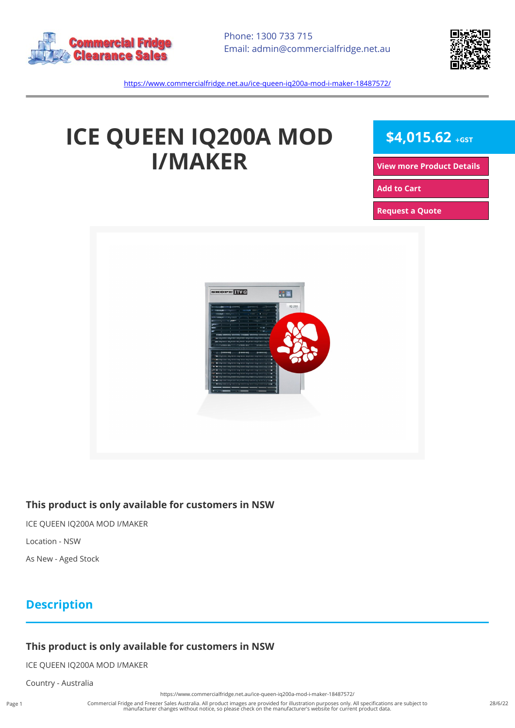



<https://www.commercialfridge.net.au/ice-queen-iq200a-mod-i-maker-18487572/>

# **ICE QUEEN IQ200A MOD I/MAKER**

 $$4,015.62$  +GST

**[View more Product Details](https://www.commercialfridge.net.au/ice-queen-iq200a-mod-i-maker-18487572/)**

**[Add to Cart](https://www.commercialfridge.net.au/ice-queen-iq200a-mod-i-maker-18487572/?addtocart=1)** 

**[Request a Quote](https://www.commercialfridge.net.au/ice-queen-iq200a-mod-i-maker-18487572/?requestaquote=1)** 



#### **This product is only available for customers in NSW**

ICE QUEEN IQ200A MOD I/MAKER

Location - NSW

As New - Aged Stock

### **Description**

#### **This product is only available for customers in NSW**

ICE QUEEN IQ200A MOD I/MAKER

Country - Australia

Commercial Fridge and Freezer Sales Australia. All product images are provided for illustration purposes only. All specifications are subject to manufacturer changes without notice, so please check on the manufacturer's website for current product data.